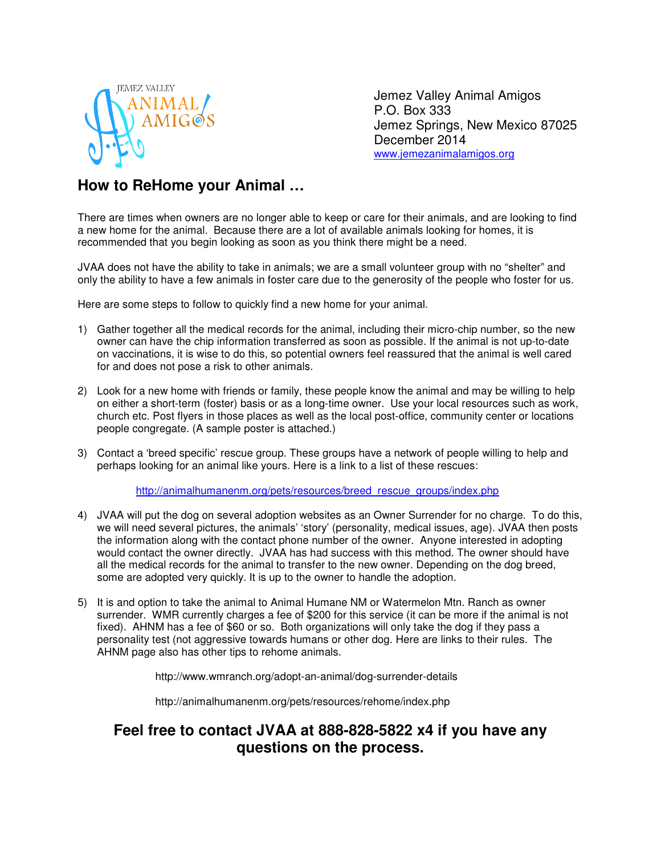

Jemez Valley Animal Amigos P.O. Box 333 Jemez Springs, New Mexico 87025 December 2014 www.jemezanimalamigos.org

## **How to ReHome your Animal …**

There are times when owners are no longer able to keep or care for their animals, and are looking to find a new home for the animal. Because there are a lot of available animals looking for homes, it is recommended that you begin looking as soon as you think there might be a need.

JVAA does not have the ability to take in animals; we are a small volunteer group with no "shelter" and only the ability to have a few animals in foster care due to the generosity of the people who foster for us.

Here are some steps to follow to quickly find a new home for your animal.

- 1) Gather together all the medical records for the animal, including their micro-chip number, so the new owner can have the chip information transferred as soon as possible. If the animal is not up-to-date on vaccinations, it is wise to do this, so potential owners feel reassured that the animal is well cared for and does not pose a risk to other animals.
- 2) Look for a new home with friends or family, these people know the animal and may be willing to help on either a short-term (foster) basis or as a long-time owner. Use your local resources such as work, church etc. Post flyers in those places as well as the local post-office, community center or locations people congregate. (A sample poster is attached.)
- 3) Contact a 'breed specific' rescue group. These groups have a network of people willing to help and perhaps looking for an animal like yours. Here is a link to a list of these rescues:

http://animalhumanenm.org/pets/resources/breed\_rescue\_groups/index.php

- 4) JVAA will put the dog on several adoption websites as an Owner Surrender for no charge. To do this, we will need several pictures, the animals' 'story' (personality, medical issues, age). JVAA then posts the information along with the contact phone number of the owner. Anyone interested in adopting would contact the owner directly. JVAA has had success with this method. The owner should have all the medical records for the animal to transfer to the new owner. Depending on the dog breed, some are adopted very quickly. It is up to the owner to handle the adoption.
- 5) It is and option to take the animal to Animal Humane NM or Watermelon Mtn. Ranch as owner surrender. WMR currently charges a fee of \$200 for this service (it can be more if the animal is not fixed). AHNM has a fee of \$60 or so. Both organizations will only take the dog if they pass a personality test (not aggressive towards humans or other dog. Here are links to their rules. The AHNM page also has other tips to rehome animals.

http://www.wmranch.org/adopt-an-animal/dog-surrender-details

http://animalhumanenm.org/pets/resources/rehome/index.php

## **Feel free to contact JVAA at 888-828-5822 x4 if you have any questions on the process.**